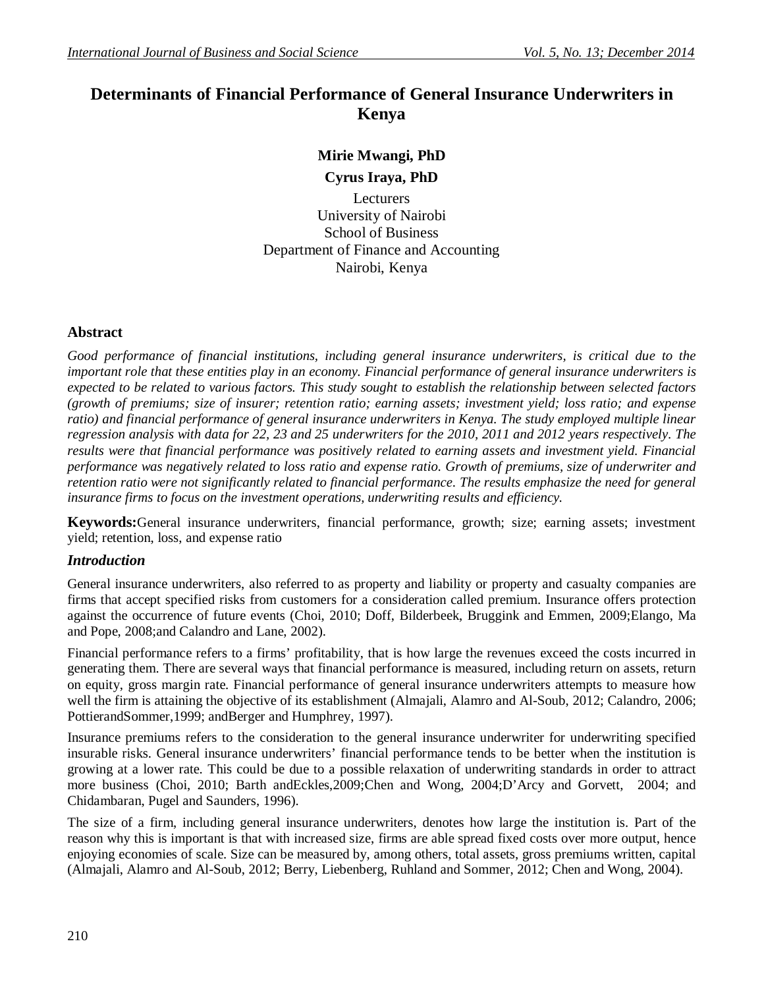# **Determinants of Financial Performance of General Insurance Underwriters in Kenya**

# **Mirie Mwangi, PhD Cyrus Iraya, PhD**

**Lecturers** University of Nairobi School of Business Department of Finance and Accounting Nairobi, Kenya

# **Abstract**

Good performance of financial institutions, including general insurance underwriters, is critical due to the *important role that these entities play in an economy. Financial performance of general insurance underwriters is expected to be related to various factors. This study sought to establish the relationship between selected factors (growth of premiums; size of insurer; retention ratio; earning assets; investment yield; loss ratio; and expense ratio) and financial performance of general insurance underwriters in Kenya. The study employed multiple linear regression analysis with data for 22, 23 and 25 underwriters for the 2010, 2011 and 2012 years respectively. The results were that financial performance was positively related to earning assets and investment yield. Financial performance was negatively related to loss ratio and expense ratio. Growth of premiums, size of underwriter and retention ratio were not significantly related to financial performance. The results emphasize the need for general insurance firms to focus on the investment operations, underwriting results and efficiency.*

**Keywords:**General insurance underwriters, financial performance, growth; size; earning assets; investment yield; retention, loss, and expense ratio

### *Introduction*

General insurance underwriters, also referred to as property and liability or property and casualty companies are firms that accept specified risks from customers for a consideration called premium. Insurance offers protection against the occurrence of future events (Choi, 2010; Doff, Bilderbeek, Bruggink and Emmen, 2009;Elango, Ma and Pope, 2008;and Calandro and Lane, 2002).

Financial performance refers to a firms' profitability, that is how large the revenues exceed the costs incurred in generating them. There are several ways that financial performance is measured, including return on assets, return on equity, gross margin rate. Financial performance of general insurance underwriters attempts to measure how well the firm is attaining the objective of its establishment (Almajali, Alamro and Al-Soub, 2012; Calandro, 2006; PottierandSommer,1999; andBerger and Humphrey, 1997).

Insurance premiums refers to the consideration to the general insurance underwriter for underwriting specified insurable risks. General insurance underwriters' financial performance tends to be better when the institution is growing at a lower rate. This could be due to a possible relaxation of underwriting standards in order to attract more business (Choi, 2010; Barth andEckles,2009;Chen and Wong, 2004;D'Arcy and Gorvett, 2004; and Chidambaran, Pugel and Saunders, 1996).

The size of a firm, including general insurance underwriters, denotes how large the institution is. Part of the reason why this is important is that with increased size, firms are able spread fixed costs over more output, hence enjoying economies of scale. Size can be measured by, among others, total assets, gross premiums written, capital (Almajali, Alamro and Al-Soub, 2012; Berry, Liebenberg, Ruhland and Sommer, 2012; Chen and Wong, 2004).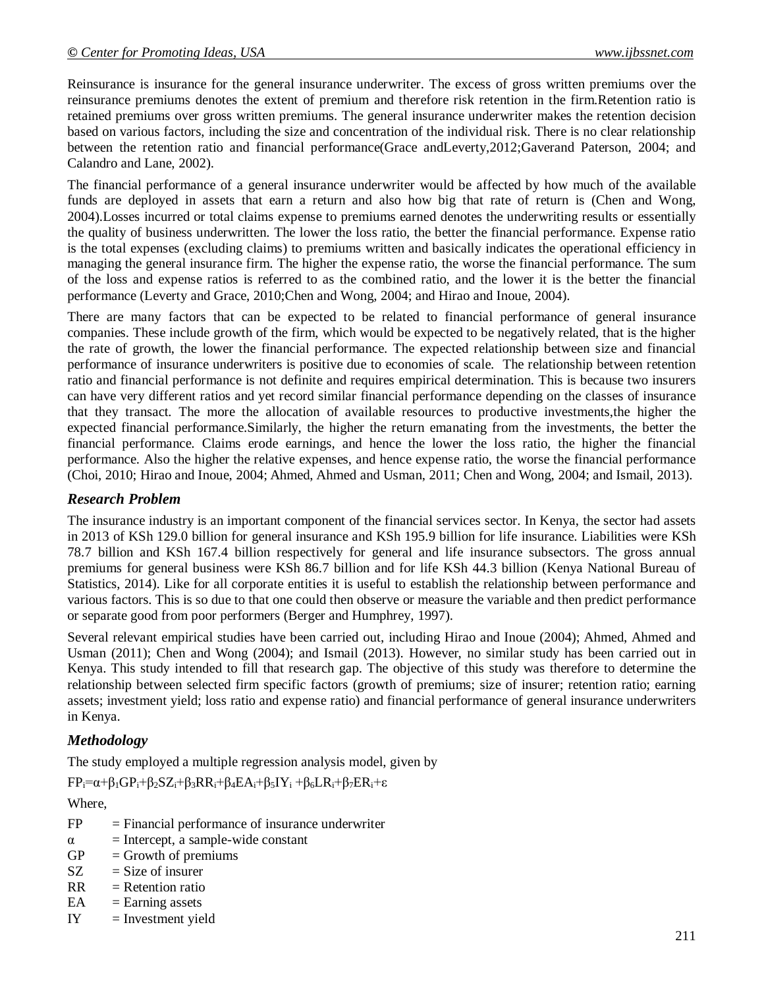Reinsurance is insurance for the general insurance underwriter. The excess of gross written premiums over the reinsurance premiums denotes the extent of premium and therefore risk retention in the firm.Retention ratio is retained premiums over gross written premiums. The general insurance underwriter makes the retention decision based on various factors, including the size and concentration of the individual risk. There is no clear relationship between the retention ratio and financial performance(Grace andLeverty,2012;Gaverand Paterson, 2004; and Calandro and Lane, 2002).

The financial performance of a general insurance underwriter would be affected by how much of the available funds are deployed in assets that earn a return and also how big that rate of return is (Chen and Wong, 2004).Losses incurred or total claims expense to premiums earned denotes the underwriting results or essentially the quality of business underwritten. The lower the loss ratio, the better the financial performance. Expense ratio is the total expenses (excluding claims) to premiums written and basically indicates the operational efficiency in managing the general insurance firm. The higher the expense ratio, the worse the financial performance. The sum of the loss and expense ratios is referred to as the combined ratio, and the lower it is the better the financial performance (Leverty and Grace, 2010;Chen and Wong, 2004; and Hirao and Inoue, 2004).

There are many factors that can be expected to be related to financial performance of general insurance companies. These include growth of the firm, which would be expected to be negatively related, that is the higher the rate of growth, the lower the financial performance. The expected relationship between size and financial performance of insurance underwriters is positive due to economies of scale. The relationship between retention ratio and financial performance is not definite and requires empirical determination. This is because two insurers can have very different ratios and yet record similar financial performance depending on the classes of insurance that they transact. The more the allocation of available resources to productive investments,the higher the expected financial performance.Similarly, the higher the return emanating from the investments, the better the financial performance. Claims erode earnings, and hence the lower the loss ratio, the higher the financial performance. Also the higher the relative expenses, and hence expense ratio, the worse the financial performance (Choi, 2010; Hirao and Inoue, 2004; Ahmed, Ahmed and Usman, 2011; Chen and Wong, 2004; and Ismail, 2013).

### *Research Problem*

The insurance industry is an important component of the financial services sector. In Kenya, the sector had assets in 2013 of KSh 129.0 billion for general insurance and KSh 195.9 billion for life insurance. Liabilities were KSh 78.7 billion and KSh 167.4 billion respectively for general and life insurance subsectors. The gross annual premiums for general business were KSh 86.7 billion and for life KSh 44.3 billion (Kenya National Bureau of Statistics, 2014). Like for all corporate entities it is useful to establish the relationship between performance and various factors. This is so due to that one could then observe or measure the variable and then predict performance or separate good from poor performers (Berger and Humphrey, 1997).

Several relevant empirical studies have been carried out, including Hirao and Inoue (2004); Ahmed, Ahmed and Usman (2011); Chen and Wong (2004); and Ismail (2013). However, no similar study has been carried out in Kenya. This study intended to fill that research gap. The objective of this study was therefore to determine the relationship between selected firm specific factors (growth of premiums; size of insurer; retention ratio; earning assets; investment yield; loss ratio and expense ratio) and financial performance of general insurance underwriters in Kenya.

# *Methodology*

The study employed a multiple regression analysis model, given by

 $FP_i = \alpha + \beta_1 GP_i + \beta_2 SZ_i + \beta_3 RR_i + \beta_4 EA_i + \beta_5 IY_i + \beta_6 LR_i + \beta_7 ER_i + \epsilon$ 

Where,

- $FP = Financial performance of insurance underwriter$
- $\alpha$  = Intercept, a sample-wide constant
- $GP = Growth of premiums$
- $SZ = Size of$  insurer
- $RR = Retention ratio$
- $EA = Earning$  assets
- $IY = Investment yield$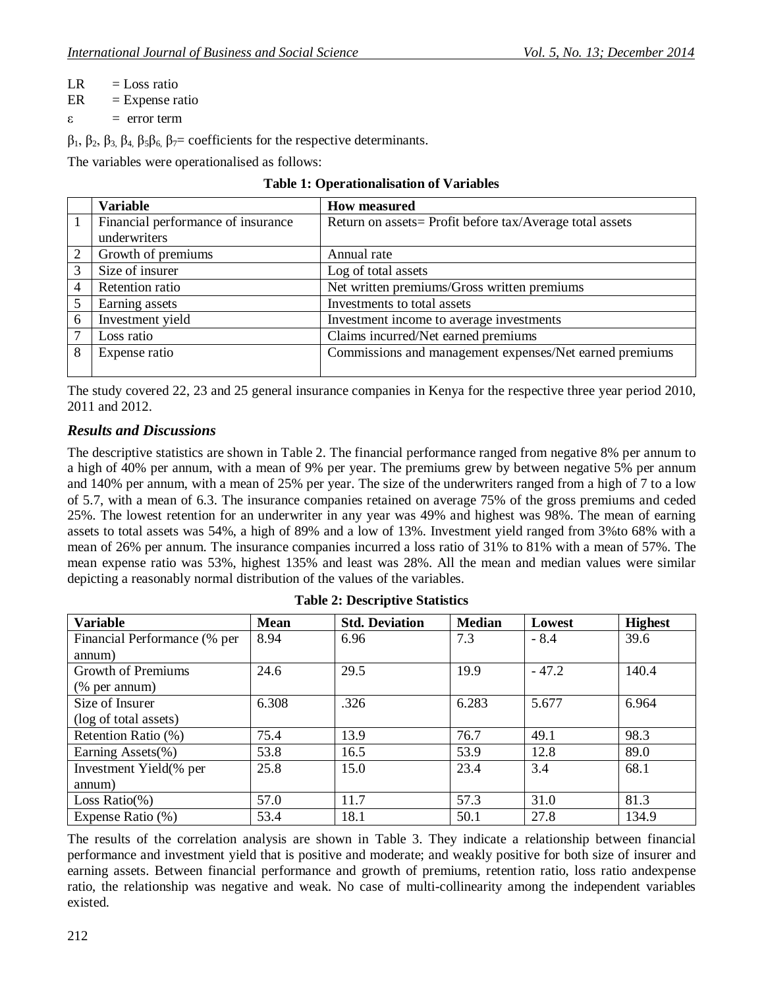- $LR = Loss ratio$
- $ER = Expense ratio$
- $\varepsilon$  = error term

 $β_1$ ,  $β_2$ ,  $β_3$ ,  $β_4$ ,  $β_5β_6$ ,  $β_7$ = coefficients for the respective determinants.

The variables were operationalised as follows:

|  | <b>Table 1: Operationalisation of Variables</b> |  |  |  |
|--|-------------------------------------------------|--|--|--|
|--|-------------------------------------------------|--|--|--|

|                | <b>Variable</b>                    | <b>How measured</b>                                      |
|----------------|------------------------------------|----------------------------------------------------------|
|                | Financial performance of insurance | Return on assets= Profit before tax/Average total assets |
|                | underwriters                       |                                                          |
| 2              | Growth of premiums                 | Annual rate                                              |
| 3              | Size of insurer                    | Log of total assets                                      |
| $\overline{4}$ | Retention ratio                    | Net written premiums/Gross written premiums              |
|                | Earning assets                     | Investments to total assets                              |
| 6              | Investment yield                   | Investment income to average investments                 |
|                | Loss ratio                         | Claims incurred/Net earned premiums                      |
| 8              | Expense ratio                      | Commissions and management expenses/Net earned premiums  |
|                |                                    |                                                          |

The study covered 22, 23 and 25 general insurance companies in Kenya for the respective three year period 2010, 2011 and 2012.

# *Results and Discussions*

The descriptive statistics are shown in Table 2. The financial performance ranged from negative 8% per annum to a high of 40% per annum, with a mean of 9% per year. The premiums grew by between negative 5% per annum and 140% per annum, with a mean of 25% per year. The size of the underwriters ranged from a high of 7 to a low of 5.7, with a mean of 6.3. The insurance companies retained on average 75% of the gross premiums and ceded 25%. The lowest retention for an underwriter in any year was 49% and highest was 98%. The mean of earning assets to total assets was 54%, a high of 89% and a low of 13%. Investment yield ranged from 3%to 68% with a mean of 26% per annum. The insurance companies incurred a loss ratio of 31% to 81% with a mean of 57%. The mean expense ratio was 53%, highest 135% and least was 28%. All the mean and median values were similar depicting a reasonably normal distribution of the values of the variables.

| <b>Variable</b>              | <b>Mean</b> | <b>Std. Deviation</b> | <b>Median</b> | Lowest  | <b>Highest</b> |
|------------------------------|-------------|-----------------------|---------------|---------|----------------|
| Financial Performance (% per | 8.94        | 6.96                  | 7.3           | $-8.4$  | 39.6           |
| annum)                       |             |                       |               |         |                |
| <b>Growth of Premiums</b>    | 24.6        | 29.5                  | 19.9          | $-47.2$ | 140.4          |
| $%$ per annum)               |             |                       |               |         |                |
| Size of Insurer              | 6.308       | .326                  | 6.283         | 5.677   | 6.964          |
| (log of total assets)        |             |                       |               |         |                |
| Retention Ratio (%)          | 75.4        | 13.9                  | 76.7          | 49.1    | 98.3           |
| Earning Assets(%)            | 53.8        | 16.5                  | 53.9          | 12.8    | 89.0           |
| Investment Yield(% per       | 25.8        | 15.0                  | 23.4          | 3.4     | 68.1           |
| annum)                       |             |                       |               |         |                |
| Loss Ratio(%)                | 57.0        | 11.7                  | 57.3          | 31.0    | 81.3           |
| Expense Ratio (%)            | 53.4        | 18.1                  | 50.1          | 27.8    | 134.9          |

The results of the correlation analysis are shown in Table 3. They indicate a relationship between financial performance and investment yield that is positive and moderate; and weakly positive for both size of insurer and earning assets. Between financial performance and growth of premiums, retention ratio, loss ratio andexpense ratio, the relationship was negative and weak. No case of multi-collinearity among the independent variables existed.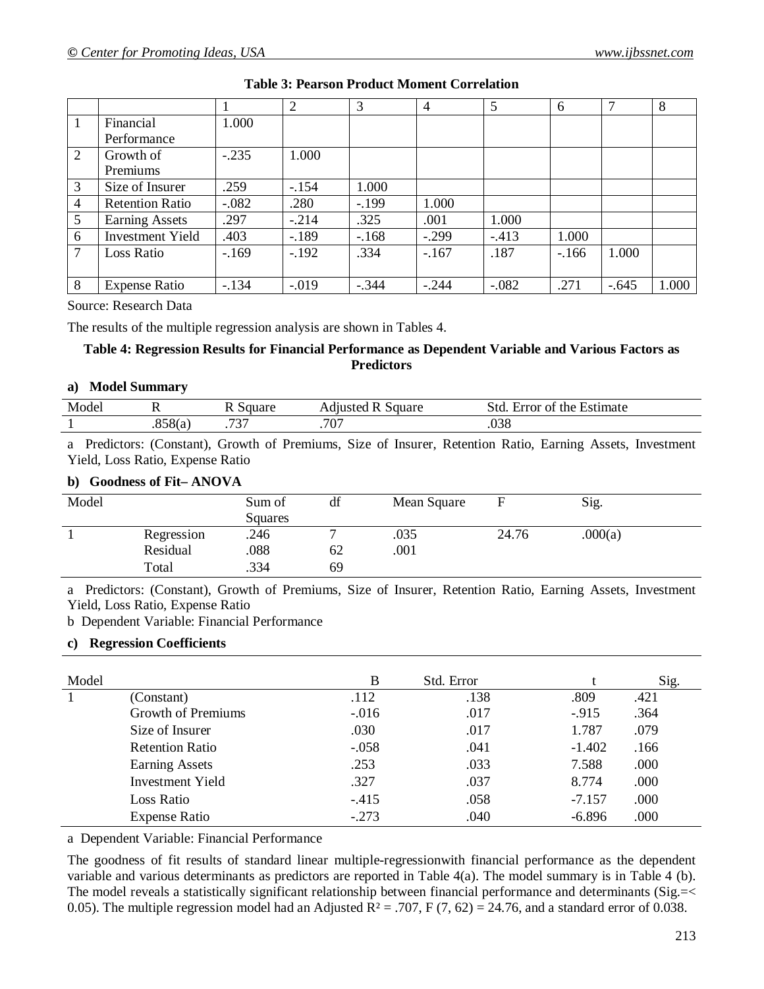|                |                         |         | 2       | 3       | $\overline{4}$ | 5       | 6      | ┑       | 8     |
|----------------|-------------------------|---------|---------|---------|----------------|---------|--------|---------|-------|
|                | Financial               | 1.000   |         |         |                |         |        |         |       |
|                | Performance             |         |         |         |                |         |        |         |       |
| 2              | Growth of               | $-.235$ | 1.000   |         |                |         |        |         |       |
|                | <b>Premiums</b>         |         |         |         |                |         |        |         |       |
| 3              | Size of Insurer         | .259    | $-154$  | 1.000   |                |         |        |         |       |
| $\overline{4}$ | <b>Retention Ratio</b>  | $-.082$ | .280    | $-.199$ | 1.000          |         |        |         |       |
| $\overline{5}$ | <b>Earning Assets</b>   | .297    | $-.214$ | .325    | .001           | 1.000   |        |         |       |
| 6              | <b>Investment Yield</b> | .403    | $-.189$ | $-.168$ | $-.299$        | $-413$  | 1.000  |         |       |
| 7              | Loss Ratio              | $-169$  | $-.192$ | .334    | $-167$         | .187    | $-166$ | 1.000   |       |
|                |                         |         |         |         |                |         |        |         |       |
| 8              | <b>Expense Ratio</b>    | $-.134$ | $-.019$ | $-.344$ | $-.244$        | $-.082$ | .271   | $-.645$ | 1.000 |

### **Table 3: Pearson Product Moment Correlation**

Source: Research Data

The results of the multiple regression analysis are shown in Tables 4.

## **Table 4: Regression Results for Financial Performance as Dependent Variable and Various Factors as Predictors**

#### **a) Model Summary**

| Model | . .                          | .guare   | square<br>11ustec | $\sim$<br>.std<br>the<br>Estimate<br>Error<br>ΟÌ |
|-------|------------------------------|----------|-------------------|--------------------------------------------------|
|       | $\overline{2}$<br><br>.ojota | 707<br>. | 707<br>7 U I      | n n n<br>.ujo                                    |

a Predictors: (Constant), Growth of Premiums, Size of Insurer, Retention Ratio, Earning Assets, Investment Yield, Loss Ratio, Expense Ratio

#### **b) Goodness of Fit– ANOVA**

| Model |            | Sum of<br>Squares | df | Mean Square |       | Sig.    |
|-------|------------|-------------------|----|-------------|-------|---------|
|       | Regression | .246              |    | .035        | 24.76 | .000(a) |
|       | Residual   | .088              | 62 | .001        |       |         |
|       | Total      | .334              | 69 |             |       |         |

a Predictors: (Constant), Growth of Premiums, Size of Insurer, Retention Ratio, Earning Assets, Investment Yield, Loss Ratio, Expense Ratio

b Dependent Variable: Financial Performance

#### **c) Regression Coefficients**

| Model |                           | B        | Std. Error |          | Sig. |
|-------|---------------------------|----------|------------|----------|------|
|       | (Constant)                | .112     | .138       | .809     | .421 |
|       | <b>Growth of Premiums</b> | $-0.016$ | .017       | $-915$   | .364 |
|       | Size of Insurer           | .030     | .017       | 1.787    | .079 |
|       | <b>Retention Ratio</b>    | $-.058$  | .041       | $-1.402$ | .166 |
|       | <b>Earning Assets</b>     | .253     | .033       | 7.588    | .000 |
|       | <b>Investment Yield</b>   | .327     | .037       | 8.774    | .000 |
|       | <b>Loss Ratio</b>         | $-415$   | .058       | $-7.157$ | .000 |
|       | <b>Expense Ratio</b>      | $-.273$  | .040       | $-6.896$ | .000 |

a Dependent Variable: Financial Performance

The goodness of fit results of standard linear multiple-regressionwith financial performance as the dependent variable and various determinants as predictors are reported in Table 4(a). The model summary is in Table 4 (b). The model reveals a statistically significant relationship between financial performance and determinants (Sig.=< 0.05). The multiple regression model had an Adjusted  $R^2 = .707$ , F (7, 62) = 24.76, and a standard error of 0.038.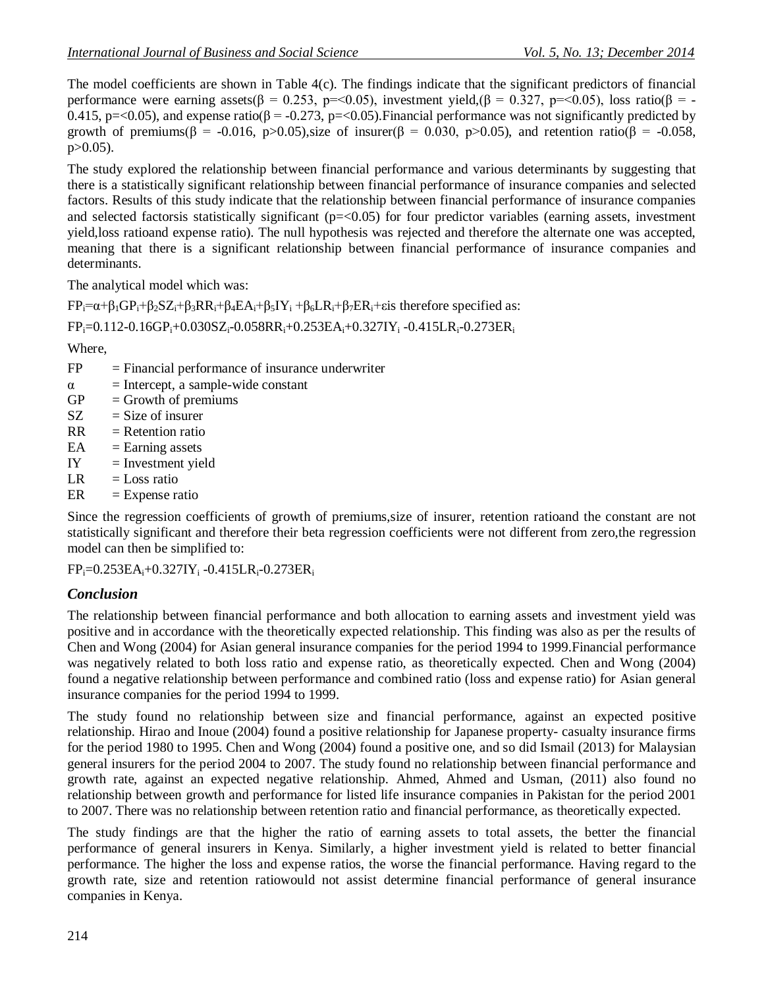The model coefficients are shown in Table 4(c). The findings indicate that the significant predictors of financial performance were earning assets( $\beta = 0.253$ , p=<0.05), investment yield,( $\beta = 0.327$ , p=<0.05), loss ratio( $\beta = -$ 0.415, p=<0.05), and expense ratio( $\beta$  = -0.273, p=<0.05). Financial performance was not significantly predicted by growth of premiums( $\beta$  = -0.016, p>0.05),size of insurer( $\beta$  = 0.030, p>0.05), and retention ratio( $\beta$  = -0.058,  $p > 0.05$ ).

The study explored the relationship between financial performance and various determinants by suggesting that there is a statistically significant relationship between financial performance of insurance companies and selected factors. Results of this study indicate that the relationship between financial performance of insurance companies and selected factorsis statistically significant ( $p = 0.05$ ) for four predictor variables (earning assets, investment yield,loss ratioand expense ratio). The null hypothesis was rejected and therefore the alternate one was accepted, meaning that there is a significant relationship between financial performance of insurance companies and determinants.

The analytical model which was:

 $FP_i=\alpha+\beta_1GP_i+\beta_2SZ_i+\beta_3RR_i+\beta_4EA_i+\beta_5IY_i+\beta_6LR_i+\beta_7ER_i+\epsilon$  is therefore specified as:

 $FP_i=0.112-0.16GP_i+0.030SZ_i-0.058RR_i+0.253EA_i+0.327IY_i-0.415LR_i-0.273ER_i$ 

Where,

- $FP = Financial performance of insurance underwriter$
- $\alpha$  = Intercept, a sample-wide constant
- $GP = Growth of premiums$
- $SZ = Size of$  insurer
- $RR = Retention ratio$
- $EA = Earning$  assets
- $IY = Investment yield$
- $LR = Loss ratio$
- $ER = Expense ratio$

Since the regression coefficients of growth of premiums,size of insurer, retention ratioand the constant are not statistically significant and therefore their beta regression coefficients were not different from zero,the regression model can then be simplified to:

 $FP_i=0.253EA_i+0.327IY_i -0.415LR_i -0.273ER_i$ 

### *Conclusion*

The relationship between financial performance and both allocation to earning assets and investment yield was positive and in accordance with the theoretically expected relationship. This finding was also as per the results of Chen and Wong (2004) for Asian general insurance companies for the period 1994 to 1999.Financial performance was negatively related to both loss ratio and expense ratio, as theoretically expected. Chen and Wong (2004) found a negative relationship between performance and combined ratio (loss and expense ratio) for Asian general insurance companies for the period 1994 to 1999.

The study found no relationship between size and financial performance, against an expected positive relationship. Hirao and Inoue (2004) found a positive relationship for Japanese property- casualty insurance firms for the period 1980 to 1995. Chen and Wong (2004) found a positive one, and so did Ismail (2013) for Malaysian general insurers for the period 2004 to 2007. The study found no relationship between financial performance and growth rate, against an expected negative relationship. Ahmed, Ahmed and Usman, (2011) also found no relationship between growth and performance for listed life insurance companies in Pakistan for the period 2001 to 2007. There was no relationship between retention ratio and financial performance, as theoretically expected.

The study findings are that the higher the ratio of earning assets to total assets, the better the financial performance of general insurers in Kenya. Similarly, a higher investment yield is related to better financial performance. The higher the loss and expense ratios, the worse the financial performance. Having regard to the growth rate, size and retention ratiowould not assist determine financial performance of general insurance companies in Kenya.